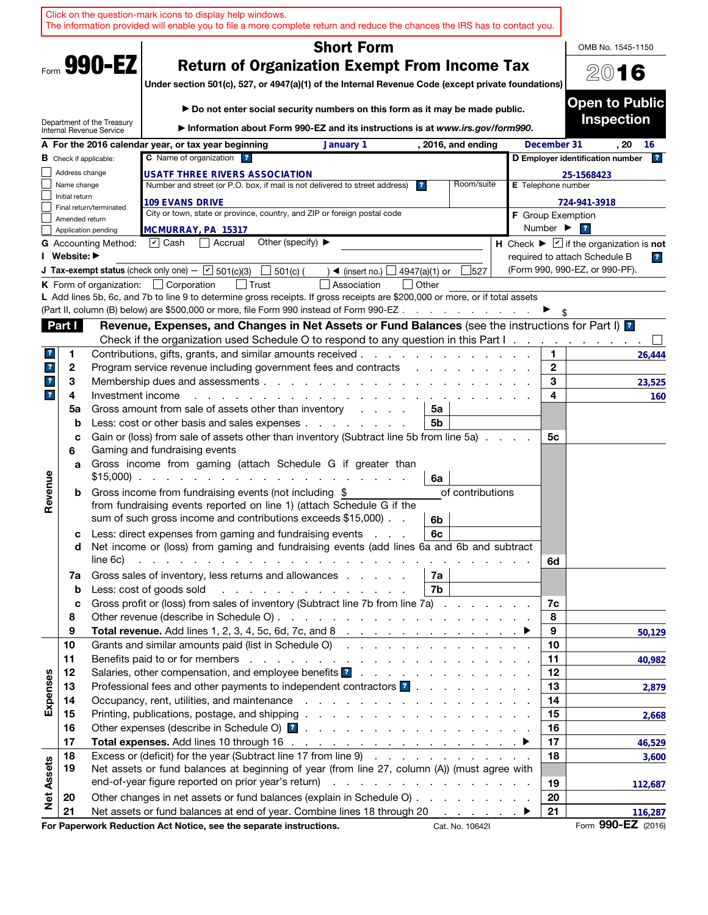|                         |                   | Click on the question-mark icons to display help windows.<br>The information provided will enable you to file a more complete return and reduce the chances the IRS has to contact you.                                                                                                             |                              |                                                                             |
|-------------------------|-------------------|-----------------------------------------------------------------------------------------------------------------------------------------------------------------------------------------------------------------------------------------------------------------------------------------------------|------------------------------|-----------------------------------------------------------------------------|
|                         |                   | <b>Short Form</b>                                                                                                                                                                                                                                                                                   |                              | OMB No. 1545-1150                                                           |
|                         |                   | Form 990-EZ<br><b>Return of Organization Exempt From Income Tax</b><br>Under section 501(c), 527, or 4947(a)(1) of the Internal Revenue Code (except private foundations)                                                                                                                           |                              | 2016                                                                        |
|                         |                   | Do not enter social security numbers on this form as it may be made public.                                                                                                                                                                                                                         |                              | <b>Open to Public</b><br><b>Inspection</b>                                  |
|                         |                   | Department of the Treasury<br>Information about Form 990-EZ and its instructions is at www.irs.gov/form990.<br>Internal Revenue Service                                                                                                                                                             |                              |                                                                             |
|                         |                   | A For the 2016 calendar year, or tax year beginning<br>January 1<br>, 2016, and ending<br>C Name of organization ?                                                                                                                                                                                  | December 31                  | . 20<br>16<br>$\mathbf{r}$                                                  |
|                         | Address change    | <b>B</b> Check if applicable:                                                                                                                                                                                                                                                                       |                              | D Employer identification number                                            |
|                         | Name change       | <b>USATF THREE RIVERS ASSOCIATION</b><br>Room/suite<br>Number and street (or P.O. box, if mail is not delivered to street address)<br>$\overline{\mathbf{r}}$                                                                                                                                       |                              | 25-1568423<br>E Telephone number                                            |
|                         | Initial return    | <b>109 EVANS DRIVE</b>                                                                                                                                                                                                                                                                              |                              | 724-941-3918                                                                |
|                         | Amended return    | Final return/terminated<br>City or town, state or province, country, and ZIP or foreign postal code                                                                                                                                                                                                 |                              | <b>F</b> Group Exemption                                                    |
|                         |                   | MCMURRAY, PA 15317<br>Application pending                                                                                                                                                                                                                                                           | Number $\blacktriangleright$ | $\overline{\mathbf{r}}$                                                     |
|                         |                   | Other (specify) $\blacktriangleright$<br>$ v $ Cash<br>Accrual<br><b>G</b> Accounting Method:                                                                                                                                                                                                       |                              | H Check $\blacktriangleright \boxed{\mathbf{v}}$ if the organization is not |
|                         | I Website: ▶      |                                                                                                                                                                                                                                                                                                     |                              | required to attach Schedule B<br>$\overline{r}$                             |
|                         |                   | <b>J Tax-exempt status</b> (check only one) - $\boxed{\mathbf{v}}$ 501(c)(3)<br>$\Box$ 501(c) (<br>4947(a)(1) or<br>527<br>$\rightarrow$ (insert no.)                                                                                                                                               |                              | (Form 990, 990-EZ, or 990-PF).                                              |
|                         |                   | <b>K</b> Form of organization: $\Box$ Corporation<br>Association<br>l Other                                                                                                                                                                                                                         |                              |                                                                             |
|                         |                   | L Add lines 5b, 6c, and 7b to line 9 to determine gross receipts. If gross receipts are \$200,000 or more, or if total assets<br>(Part II, column (B) below) are \$500,000 or more, file Form 990 instead of Form 990-EZ                                                                            |                              |                                                                             |
|                         | Part I            | Revenue, Expenses, and Changes in Net Assets or Fund Balances (see the instructions for Part I) <b>1</b>                                                                                                                                                                                            |                              |                                                                             |
|                         |                   | Check if the organization used Schedule O to respond to any question in this Part I.                                                                                                                                                                                                                |                              |                                                                             |
| 3                       | 1                 | Contributions, gifts, grants, and similar amounts received.                                                                                                                                                                                                                                         | 1.                           | 26,444                                                                      |
| $\overline{\mathbf{r}}$ | $\mathbf{2}$      | Program service revenue including government fees and contracts                                                                                                                                                                                                                                     | $\mathbf{2}$                 |                                                                             |
| $\mathbf{r}$            | 3                 | Membership dues and assessments                                                                                                                                                                                                                                                                     | 3                            | 23,525                                                                      |
| $\overline{\mathbf{r}}$ | 4                 | Investment income                                                                                                                                                                                                                                                                                   | 4                            | 160                                                                         |
|                         | 5a                | Gross amount from sale of assets other than inventory<br>5a<br>and a state                                                                                                                                                                                                                          |                              |                                                                             |
|                         | $\mathbf b$       | Less: cost or other basis and sales expenses<br>5b                                                                                                                                                                                                                                                  |                              |                                                                             |
|                         | c<br>6            | Gain or (loss) from sale of assets other than inventory (Subtract line 5b from line 5a)<br>Gaming and fundraising events                                                                                                                                                                            | 5с                           |                                                                             |
|                         | a                 | Gross income from gaming (attach Schedule G if greater than<br>$$15,000$<br>6a                                                                                                                                                                                                                      |                              |                                                                             |
| Revenue                 | b                 | Gross income from fundraising events (not including \$<br>of contributions                                                                                                                                                                                                                          |                              |                                                                             |
|                         |                   | from fundraising events reported on line 1) (attach Schedule G if the<br>sum of such gross income and contributions exceeds \$15,000).<br>6b                                                                                                                                                        |                              |                                                                             |
|                         | с                 | Less: direct expenses from gaming and fundraising events<br>6c                                                                                                                                                                                                                                      |                              |                                                                             |
|                         | d                 | Net income or (loss) from gaming and fundraising events (add lines 6a and 6b and subtract                                                                                                                                                                                                           |                              |                                                                             |
|                         |                   | line 6c)<br>and the contract of the contract of the contract of the contract of the contract of the contract of the contract of the contract of the contract of the contract of the contract of the contract of the contract of the contra<br>Gross sales of inventory, less returns and allowances | 6d                           |                                                                             |
|                         | 7a<br>$\mathbf b$ | 7a<br>7b<br>Less: cost of goods sold<br>and the company of the company of the company of the company of the company of the company of the company of the company of the company of the company of the company of the company of the company of the company of the comp                              |                              |                                                                             |
|                         | c                 | Gross profit or (loss) from sales of inventory (Subtract line 7b from line 7a)                                                                                                                                                                                                                      | 7c                           |                                                                             |
|                         | 8                 |                                                                                                                                                                                                                                                                                                     | 8                            |                                                                             |
|                         | 9                 |                                                                                                                                                                                                                                                                                                     | 9                            | 50,129                                                                      |
|                         | 10                | Grants and similar amounts paid (list in Schedule O)                                                                                                                                                                                                                                                | 10                           |                                                                             |
|                         | 11                |                                                                                                                                                                                                                                                                                                     | 11                           | 40,982                                                                      |
|                         | 12                |                                                                                                                                                                                                                                                                                                     | 12                           |                                                                             |
| Expenses                | 13                | Professional fees and other payments to independent contractors <b>1</b>                                                                                                                                                                                                                            | 13                           | 2,879                                                                       |
|                         | 14                |                                                                                                                                                                                                                                                                                                     | 14                           |                                                                             |
|                         | 15<br>16          |                                                                                                                                                                                                                                                                                                     | 15<br>16                     | 2,668                                                                       |
|                         | 17                |                                                                                                                                                                                                                                                                                                     | 17                           | 46,529                                                                      |
|                         | 18                | Excess or (deficit) for the year (Subtract line 17 from line 9)                                                                                                                                                                                                                                     | 18                           | 3,600                                                                       |
| <b>Net Assets</b>       | 19                | Net assets or fund balances at beginning of year (from line 27, column (A)) (must agree with                                                                                                                                                                                                        |                              |                                                                             |
|                         |                   |                                                                                                                                                                                                                                                                                                     | 19                           | 112,687                                                                     |
|                         | 20                | Other changes in net assets or fund balances (explain in Schedule O)                                                                                                                                                                                                                                | 20                           |                                                                             |
|                         | 21                | Net assets or fund balances at end of year. Combine lines 18 through 20 ▶                                                                                                                                                                                                                           | 21                           | 116,287                                                                     |
|                         |                   | For Paperwork Reduction Act Notice, see the separate instructions.<br>Cat. No. 10642I                                                                                                                                                                                                               |                              | Form 990-EZ (2016)                                                          |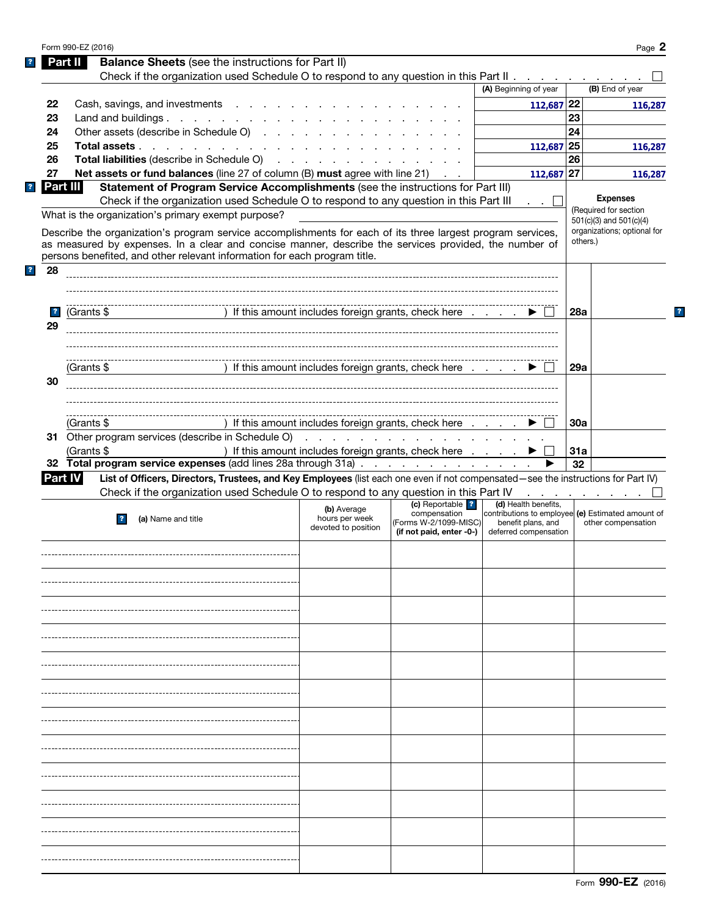|                         | Form 990-EZ (2016)                                                                                                                                                                                                                  |                                                                                                                 |                          |                                                         |            | Page 2                                               |
|-------------------------|-------------------------------------------------------------------------------------------------------------------------------------------------------------------------------------------------------------------------------------|-----------------------------------------------------------------------------------------------------------------|--------------------------|---------------------------------------------------------|------------|------------------------------------------------------|
| Part II                 | <b>Balance Sheets</b> (see the instructions for Part II)                                                                                                                                                                            |                                                                                                                 |                          |                                                         |            |                                                      |
|                         | Check if the organization used Schedule O to respond to any question in this Part II                                                                                                                                                |                                                                                                                 |                          |                                                         |            |                                                      |
|                         |                                                                                                                                                                                                                                     |                                                                                                                 |                          | (A) Beginning of year                                   |            | (B) End of year                                      |
| 22                      | Cash, savings, and investments                                                                                                                                                                                                      |                                                                                                                 |                          | 112,687 22                                              |            | 116,287                                              |
| 23                      | Land and buildings.                                                                                                                                                                                                                 |                                                                                                                 |                          |                                                         | 23         |                                                      |
| 24                      | Other assets (describe in Schedule O)                                                                                                                                                                                               |                                                                                                                 |                          |                                                         | 24         |                                                      |
|                         |                                                                                                                                                                                                                                     |                                                                                                                 |                          |                                                         |            |                                                      |
| 25                      | Total assets                                                                                                                                                                                                                        |                                                                                                                 |                          | $112,687$ 25                                            |            | 116,287                                              |
| 26                      | <b>Total liabilities</b> (describe in Schedule O) (enterprise on the contract of the contract of the contract of the contract of the contract of the contract of the contract of the contract of the contract of the contract of th |                                                                                                                 |                          |                                                         | 26         |                                                      |
| 27                      | <b>Net assets or fund balances</b> (line 27 of column $(B)$ must agree with line 21) $\ldots$                                                                                                                                       |                                                                                                                 |                          | $112,687$ 27                                            |            | 116,287                                              |
| Part III                | Statement of Program Service Accomplishments (see the instructions for Part III)                                                                                                                                                    |                                                                                                                 |                          |                                                         |            |                                                      |
|                         | Check if the organization used Schedule O to respond to any question in this Part III                                                                                                                                               |                                                                                                                 |                          | . . L                                                   |            | <b>Expenses</b>                                      |
|                         | What is the organization's primary exempt purpose?                                                                                                                                                                                  |                                                                                                                 |                          |                                                         |            | (Required for section<br>$501(c)(3)$ and $501(c)(4)$ |
|                         | Describe the organization's program service accomplishments for each of its three largest program services,                                                                                                                         |                                                                                                                 |                          |                                                         |            | organizations; optional for                          |
|                         | as measured by expenses. In a clear and concise manner, describe the services provided, the number of                                                                                                                               |                                                                                                                 |                          |                                                         |            | others.)                                             |
|                         | persons benefited, and other relevant information for each program title.                                                                                                                                                           |                                                                                                                 |                          |                                                         |            |                                                      |
| 28                      |                                                                                                                                                                                                                                     |                                                                                                                 |                          |                                                         |            |                                                      |
|                         |                                                                                                                                                                                                                                     |                                                                                                                 |                          |                                                         |            |                                                      |
|                         |                                                                                                                                                                                                                                     |                                                                                                                 |                          |                                                         |            |                                                      |
|                         |                                                                                                                                                                                                                                     |                                                                                                                 |                          |                                                         |            |                                                      |
| $\overline{\mathbf{?}}$ | (Grants \$                                                                                                                                                                                                                          | ) If this amount includes foreign grants, check here $\ldots$ $\blacktriangleright$                             |                          |                                                         | 28a        |                                                      |
| 29                      |                                                                                                                                                                                                                                     |                                                                                                                 |                          |                                                         |            |                                                      |
|                         |                                                                                                                                                                                                                                     |                                                                                                                 |                          |                                                         |            |                                                      |
|                         |                                                                                                                                                                                                                                     |                                                                                                                 |                          |                                                         |            |                                                      |
|                         | (Grants \$                                                                                                                                                                                                                          | ) If this amount includes foreign grants, check here                                                            |                          |                                                         | 29a        |                                                      |
| 30                      |                                                                                                                                                                                                                                     |                                                                                                                 |                          |                                                         |            |                                                      |
|                         |                                                                                                                                                                                                                                     |                                                                                                                 |                          |                                                         |            |                                                      |
|                         |                                                                                                                                                                                                                                     |                                                                                                                 |                          |                                                         |            |                                                      |
|                         |                                                                                                                                                                                                                                     |                                                                                                                 |                          |                                                         |            |                                                      |
|                         | (Grants \$                                                                                                                                                                                                                          | ) If this amount includes foreign grants, check here                                                            |                          |                                                         | <b>30a</b> |                                                      |
|                         | 31 Other program services (describe in Schedule O)                                                                                                                                                                                  | the contract of the contract of the contract of the contract of the contract of the contract of the contract of |                          |                                                         |            |                                                      |
|                         |                                                                                                                                                                                                                                     | ) If this amount includes foreign grants, check here                                                            |                          |                                                         | 31a        |                                                      |
|                         | (Grants \$                                                                                                                                                                                                                          |                                                                                                                 |                          |                                                         |            |                                                      |
|                         | 32 Total program service expenses (add lines 28a through 31a)                                                                                                                                                                       |                                                                                                                 |                          |                                                         | 32         |                                                      |
| <b>Part IV</b>          | List of Officers, Directors, Trustees, and Key Employees (list each one even if not compensated-see the instructions for Part IV)                                                                                                   |                                                                                                                 |                          |                                                         |            |                                                      |
|                         |                                                                                                                                                                                                                                     |                                                                                                                 |                          |                                                         |            |                                                      |
|                         | Check if the organization used Schedule O to respond to any question in this Part IV                                                                                                                                                |                                                                                                                 | (c) Reportable ?         | and a state of the state of the<br>(d) Health benefits, |            |                                                      |
|                         |                                                                                                                                                                                                                                     | (b) Average<br>hours per week                                                                                   | compensation             | contributions to employee (e) Estimated amount of       |            |                                                      |
|                         | (a) Name and title                                                                                                                                                                                                                  | devoted to position                                                                                             | (Forms W-2/1099-MISC)    | benefit plans, and                                      |            | other compensation                                   |
|                         |                                                                                                                                                                                                                                     |                                                                                                                 | (if not paid, enter -0-) | deferred compensation                                   |            |                                                      |
|                         |                                                                                                                                                                                                                                     |                                                                                                                 |                          |                                                         |            |                                                      |
|                         |                                                                                                                                                                                                                                     |                                                                                                                 |                          |                                                         |            |                                                      |
|                         |                                                                                                                                                                                                                                     |                                                                                                                 |                          |                                                         |            |                                                      |
|                         |                                                                                                                                                                                                                                     |                                                                                                                 |                          |                                                         |            |                                                      |
|                         |                                                                                                                                                                                                                                     |                                                                                                                 |                          |                                                         |            |                                                      |
|                         |                                                                                                                                                                                                                                     |                                                                                                                 |                          |                                                         |            |                                                      |
|                         |                                                                                                                                                                                                                                     |                                                                                                                 |                          |                                                         |            |                                                      |
|                         |                                                                                                                                                                                                                                     |                                                                                                                 |                          |                                                         |            |                                                      |
|                         |                                                                                                                                                                                                                                     |                                                                                                                 |                          |                                                         |            |                                                      |
|                         |                                                                                                                                                                                                                                     |                                                                                                                 |                          |                                                         |            |                                                      |
|                         |                                                                                                                                                                                                                                     |                                                                                                                 |                          |                                                         |            |                                                      |
|                         |                                                                                                                                                                                                                                     |                                                                                                                 |                          |                                                         |            |                                                      |
|                         |                                                                                                                                                                                                                                     |                                                                                                                 |                          |                                                         |            |                                                      |
|                         |                                                                                                                                                                                                                                     |                                                                                                                 |                          |                                                         |            |                                                      |
|                         |                                                                                                                                                                                                                                     |                                                                                                                 |                          |                                                         |            |                                                      |
|                         |                                                                                                                                                                                                                                     |                                                                                                                 |                          |                                                         |            |                                                      |
|                         |                                                                                                                                                                                                                                     |                                                                                                                 |                          |                                                         |            |                                                      |
|                         |                                                                                                                                                                                                                                     |                                                                                                                 |                          |                                                         |            |                                                      |
|                         |                                                                                                                                                                                                                                     |                                                                                                                 |                          |                                                         |            |                                                      |
|                         |                                                                                                                                                                                                                                     |                                                                                                                 |                          |                                                         |            |                                                      |
|                         |                                                                                                                                                                                                                                     |                                                                                                                 |                          |                                                         |            |                                                      |
|                         |                                                                                                                                                                                                                                     |                                                                                                                 |                          |                                                         |            |                                                      |
|                         |                                                                                                                                                                                                                                     |                                                                                                                 |                          |                                                         |            |                                                      |
|                         |                                                                                                                                                                                                                                     |                                                                                                                 |                          |                                                         |            |                                                      |
|                         |                                                                                                                                                                                                                                     |                                                                                                                 |                          |                                                         |            |                                                      |
|                         |                                                                                                                                                                                                                                     |                                                                                                                 |                          |                                                         |            |                                                      |

 $\mathbf{?}$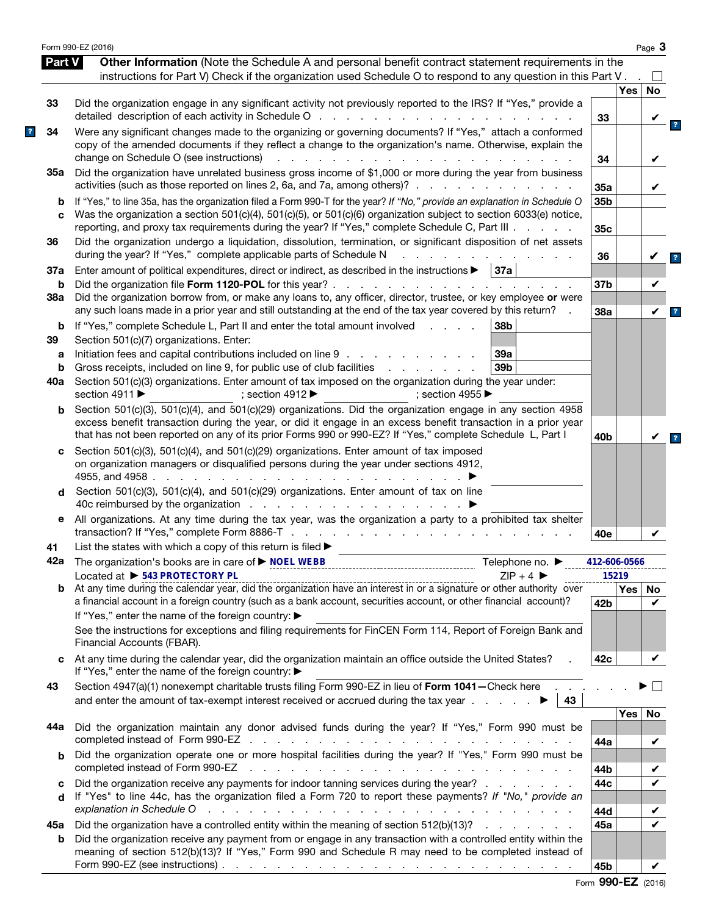|               | Form 990-EZ (2016)                                                                                                                                                                                                                                                                                                                                         |                 |       | Page $3$ |
|---------------|------------------------------------------------------------------------------------------------------------------------------------------------------------------------------------------------------------------------------------------------------------------------------------------------------------------------------------------------------------|-----------------|-------|----------|
| <b>Part V</b> | Other Information (Note the Schedule A and personal benefit contract statement requirements in the                                                                                                                                                                                                                                                         |                 |       |          |
|               | instructions for Part V) Check if the organization used Schedule O to respond to any question in this Part V.                                                                                                                                                                                                                                              |                 |       |          |
|               |                                                                                                                                                                                                                                                                                                                                                            |                 | Yes   | No       |
| 33            | Did the organization engage in any significant activity not previously reported to the IRS? If "Yes," provide a<br>detailed description of each activity in Schedule O                                                                                                                                                                                     | 33              |       |          |
| 34            | Were any significant changes made to the organizing or governing documents? If "Yes," attach a conformed<br>copy of the amended documents if they reflect a change to the organization's name. Otherwise, explain the<br>change on Schedule O (see instructions)                                                                                           | 34              |       |          |
| 35а           | Did the organization have unrelated business gross income of \$1,000 or more during the year from business                                                                                                                                                                                                                                                 |                 |       |          |
|               | activities (such as those reported on lines 2, 6a, and 7a, among others)?                                                                                                                                                                                                                                                                                  | 35a             |       | V        |
| b<br>C        | If "Yes," to line 35a, has the organization filed a Form 990-T for the year? If "No," provide an explanation in Schedule O<br>Was the organization a section $501(c)(4)$ , $501(c)(5)$ , or $501(c)(6)$ organization subject to section 6033(e) notice,<br>reporting, and proxy tax requirements during the year? If "Yes," complete Schedule C, Part III. | 35b<br>35c      |       |          |
| 36            | Did the organization undergo a liquidation, dissolution, termination, or significant disposition of net assets<br>during the year? If "Yes," complete applicable parts of Schedule N                                                                                                                                                                       | 36              |       |          |
| 37a           | Enter amount of political expenditures, direct or indirect, as described in the instructions ><br>37a                                                                                                                                                                                                                                                      |                 |       |          |
| b             |                                                                                                                                                                                                                                                                                                                                                            | 37b             |       | V        |
| 38a           | Did the organization borrow from, or make any loans to, any officer, director, trustee, or key employee or were<br>any such loans made in a prior year and still outstanding at the end of the tax year covered by this return?                                                                                                                            | 38a             |       | V        |
| b             | 38b<br>If "Yes," complete Schedule L, Part II and enter the total amount involved<br>and a state                                                                                                                                                                                                                                                           |                 |       |          |
| 39            | Section 501(c)(7) organizations. Enter:                                                                                                                                                                                                                                                                                                                    |                 |       |          |
| a             | Initiation fees and capital contributions included on line 9<br>39a                                                                                                                                                                                                                                                                                        |                 |       |          |
| b             | Gross receipts, included on line 9, for public use of club facilities<br>39 <sub>b</sub><br>and a state of the state of the                                                                                                                                                                                                                                |                 |       |          |
| 40a           | Section 501(c)(3) organizations. Enter amount of tax imposed on the organization during the year under:<br>section 4911 ▶<br>: section 4912 $\blacktriangleright$<br>: section 4955 $\blacktriangleright$                                                                                                                                                  |                 |       |          |
| b             | Section 501(c)(3), 501(c)(4), and 501(c)(29) organizations. Did the organization engage in any section 4958<br>excess benefit transaction during the year, or did it engage in an excess benefit transaction in a prior year                                                                                                                               |                 |       |          |
|               | that has not been reported on any of its prior Forms 990 or 990-EZ? If "Yes," complete Schedule L, Part I                                                                                                                                                                                                                                                  | 40 <sub>b</sub> |       |          |
| c             | Section 501(c)(3), 501(c)(4), and 501(c)(29) organizations. Enter amount of tax imposed<br>on organization managers or disqualified persons during the year under sections 4912,<br>4955, and 4958.<br>the contract of the contract of the                                                                                                                 |                 |       |          |
| d             | Section 501(c)(3), 501(c)(4), and 501(c)(29) organizations. Enter amount of tax on line                                                                                                                                                                                                                                                                    |                 |       |          |
| е             | All organizations. At any time during the tax year, was the organization a party to a prohibited tax shelter<br>transaction? If "Yes," complete Form 8886-T                                                                                                                                                                                                | 40e             |       |          |
| 41            | List the states with which a copy of this return is filed >                                                                                                                                                                                                                                                                                                |                 |       |          |
|               | Telephone no. ▶                                                                                                                                                                                                                                                                                                                                            | 412-606-0566    |       |          |
|               | Located at ▶ 543 PROTECTORY PL<br>$ZIP + 4$<br>Located at $\triangleright$ 543 PROTECTORY PL<br>At any time during the calendar year, did the organization have an interest in or a signature or other authority over                                                                                                                                      |                 | 15219 |          |
| b             | a financial account in a foreign country (such as a bank account, securities account, or other financial account)?<br>If "Yes," enter the name of the foreign country: ▶                                                                                                                                                                                   | 42 <sub>b</sub> | Yes   | No<br>✓  |
|               | See the instructions for exceptions and filing requirements for FinCEN Form 114, Report of Foreign Bank and<br>Financial Accounts (FBAR).                                                                                                                                                                                                                  |                 |       |          |
| c             | At any time during the calendar year, did the organization maintain an office outside the United States?<br>If "Yes," enter the name of the foreign country: ▶                                                                                                                                                                                             | 42 <sub>c</sub> |       | V        |
| 43            | Section 4947(a)(1) nonexempt charitable trusts filing Form 990-EZ in lieu of Form 1041-Check here<br>and enter the amount of tax-exempt interest received or accrued during the tax year $\ldots$<br>43                                                                                                                                                    |                 |       |          |
|               |                                                                                                                                                                                                                                                                                                                                                            |                 | Yes   | No       |
| 44a           | Did the organization maintain any donor advised funds during the year? If "Yes," Form 990 must be                                                                                                                                                                                                                                                          | 44a             |       | V        |
| b             | Did the organization operate one or more hospital facilities during the year? If "Yes," Form 990 must be<br>completed instead of Form 990-EZ<br>المتناول والمتناول والمتناول والمتناول والمتناول والمتناول والمتناول والمتناول والمتناول والمتناول                                                                                                         | 44b             |       |          |
| c             | Did the organization receive any payments for indoor tanning services during the year?                                                                                                                                                                                                                                                                     | 44c             |       |          |
| d             | If "Yes" to line 44c, has the organization filed a Form 720 to report these payments? If "No," provide an<br>المتعاون والمتعاون والمتعاون والمتعاون والمتعاون والمتعاون والمتعاون والمتعاون والمتعاونة والمتعاونة                                                                                                                                          |                 |       |          |
|               | explanation in Schedule O                                                                                                                                                                                                                                                                                                                                  | 44d<br>45a      |       |          |
| 45а<br>b      | Did the organization have a controlled entity within the meaning of section 512(b)(13)?<br>Did the organization receive any payment from or engage in any transaction with a controlled entity within the<br>meaning of section 512(b)(13)? If "Yes," Form 990 and Schedule R may need to be completed instead of                                          |                 |       |          |
|               |                                                                                                                                                                                                                                                                                                                                                            | 45b             |       | V        |
|               |                                                                                                                                                                                                                                                                                                                                                            |                 |       |          |

|  | Form 990-EZ (2016) |  |
|--|--------------------|--|
|--|--------------------|--|